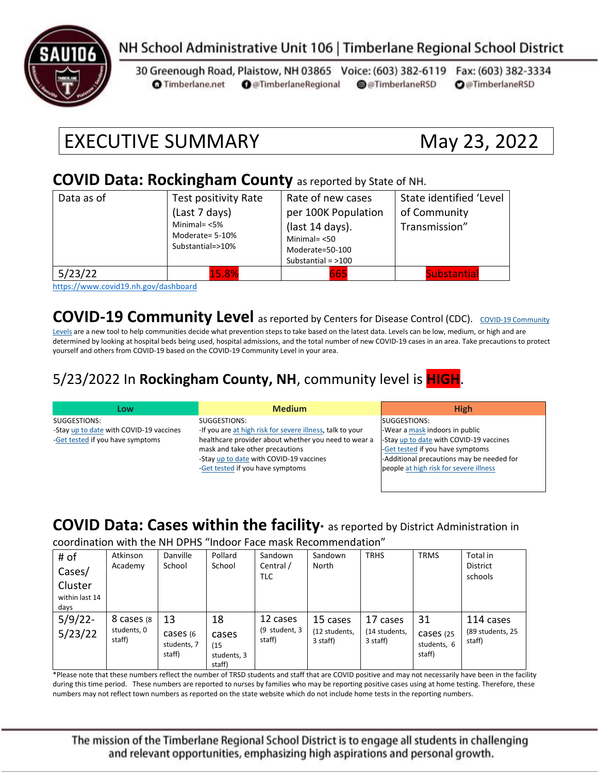

### NH School Administrative Unit 106 | Timberlane Regional School District

30 Greenough Road, Plaistow, NH 03865 Voice: (603) 382-6119 Fax: (603) 382-3334 **O** Timberlane.net **O** @TimberlaneRegional @@TimberlaneRSD **O**@TimberlaneRSD

# EXECUTIVE SUMMARY May 23, 2022

#### **COVID Data: Rockingham County** as reported by State of NH.

| Data as of                   | Test positivity Rate<br>(Last 7 days)<br>Minimal= $<$ 5%<br>Moderate= 5-10%<br>Substantial=>10% | Rate of new cases<br>per 100K Population<br>(last 14 days).<br>Minimal $=$ <50<br>Moderate=50-100<br>Substantial = $>100$ | State identified 'Level<br>of Community<br>Transmission" |
|------------------------------|-------------------------------------------------------------------------------------------------|---------------------------------------------------------------------------------------------------------------------------|----------------------------------------------------------|
| 5/23/22<br>$\cdots$ $\cdots$ | 15.8%<br>.                                                                                      | 665                                                                                                                       | <b>Substantial</b>                                       |

<https://www.covid19.nh.gov/dashboard>

**[COVID-19 Community](https://www.cdc.gov/coronavirus/2019-ncov/science/community-levels.html) Level** as reported by Centers for Disease Control (CDC). COVID-19 Community

[Levels](https://www.cdc.gov/coronavirus/2019-ncov/science/community-levels.html) are a new tool to help communities decide what prevention steps to take based on the latest data. Levels can be low, medium, or high and are determined by looking at hospital beds being used, hospital admissions, and the total number of new COVID-19 cases in an area. Take precautions to protect yourself and others from COVID-19 based on the COVID-19 Community Level in your area.

#### 5/23/2022 In **Rockingham County, NH**, community level is **HIGH**.

| Low                                     | <b>Medium</b>                                             | <b>High</b>                               |
|-----------------------------------------|-----------------------------------------------------------|-------------------------------------------|
| SUGGESTIONS:                            | SUGGESTIONS:                                              | SUGGESTIONS:                              |
| -Stay up to date with COVID-19 vaccines | -If you are at high risk for severe illness, talk to your | -Wear a mask indoors in public            |
| -Get tested if you have symptoms        | healthcare provider about whether you need to wear a      | -Stay up to date with COVID-19 vaccines   |
|                                         | mask and take other precautions                           | -Get tested if you have symptoms          |
|                                         | -Stay up to date with COVID-19 vaccines                   | -Additional precautions may be needed for |
|                                         | -Get tested if you have symptoms                          | people at high risk for severe illness    |
|                                         |                                                           |                                           |

#### **COVID Data: Cases within the facility\*** as reported by District Administration in

coordination with the NH DPHS "Indoor Face mask Recommendation"

| # of<br>Cases/<br>Cluster<br>within last 14<br>days | Atkinson<br>Academy                  | Danville<br>School                       | Pollard<br>School                            | Sandown<br>Central /<br><b>TLC</b>  | Sandown<br>North                      | <b>TRHS</b>                           | <b>TRMS</b>                              | Total in<br><b>District</b><br>schools  |
|-----------------------------------------------------|--------------------------------------|------------------------------------------|----------------------------------------------|-------------------------------------|---------------------------------------|---------------------------------------|------------------------------------------|-----------------------------------------|
| $5/9/22$ -<br>5/23/22                               | 8 cases (8)<br>students, 0<br>staff) | 13<br>cases (6)<br>students, 7<br>staff) | 18<br>cases<br>(15)<br>students, 3<br>staff) | 12 cases<br>(9 student, 3<br>staff) | 15 cases<br>(12 students,<br>3 staff) | 17 cases<br>(14 students,<br>3 staff) | 31<br>cases (25<br>students, 6<br>staff) | 114 cases<br>(89 students, 25<br>staff) |

\*Please note that these numbers reflect the number of TRSD students and staff that are COVID positive and may not necessarily have been in the facility during this time period. These numbers are reported to nurses by families who may be reporting positive cases using at home testing. Therefore, these numbers may not reflect town numbers as reported on the state website which do not include home tests in the reporting numbers.

The mission of the Timberlane Regional School District is to engage all students in challenging and relevant opportunities, emphasizing high aspirations and personal growth.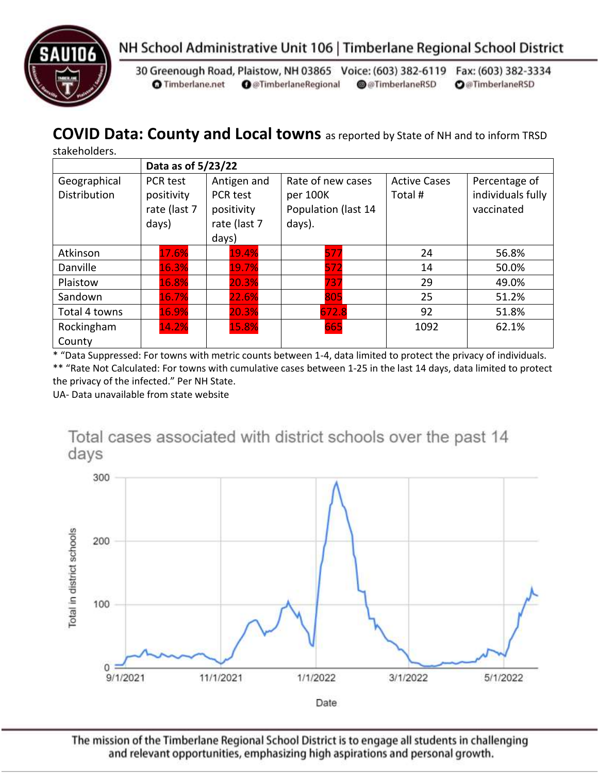



30 Greenough Road, Plaistow, NH 03865 Voice: (603) 382-6119 Fax: (603) 382-3334 **O** Timberlane.net **O** @TimberlaneRegional @@TimberlaneRSD **O**@TimberlaneRSD

## **COVID Data: County and Local towns** as reported by State of NH and to inform TRSD

stakeholders.

|                                     | Data as of 5/23/22                                     |                                                                |                                                                |                               |                                                  |  |
|-------------------------------------|--------------------------------------------------------|----------------------------------------------------------------|----------------------------------------------------------------|-------------------------------|--------------------------------------------------|--|
| Geographical<br><b>Distribution</b> | <b>PCR test</b><br>positivity<br>rate (last 7<br>days) | Antigen and<br>PCR test<br>positivity<br>rate (last 7<br>days) | Rate of new cases<br>per 100K<br>Population (last 14<br>days). | <b>Active Cases</b><br>Total# | Percentage of<br>individuals fully<br>vaccinated |  |
| Atkinson                            | 17.6%                                                  | 19.4%                                                          | 577                                                            | 24                            | 56.8%                                            |  |
| Danville                            | 16.3%                                                  | 19.7%                                                          | 572                                                            | 14                            | 50.0%                                            |  |
| Plaistow                            | 16.8%                                                  | 20.3%                                                          | 737                                                            | 29                            | 49.0%                                            |  |
| Sandown                             | 16.7%                                                  | 22.6%                                                          | 805                                                            | 25                            | 51.2%                                            |  |
| Total 4 towns                       | 16.9%                                                  | 20.3%                                                          | 672.8                                                          | 92                            | 51.8%                                            |  |
| Rockingham<br>County                | 14.2%                                                  | 15.8%                                                          | 665                                                            | 1092                          | 62.1%                                            |  |

\* "Data Suppressed: For towns with metric counts between 1-4, data limited to protect the privacy of individuals. \*\* "Rate Not Calculated: For towns with cumulative cases between 1-25 in the last 14 days, data limited to protect

the privacy of the infected." Per NH State.

UA- Data unavailable from state website



The mission of the Timberlane Regional School District is to engage all students in challenging and relevant opportunities, emphasizing high aspirations and personal growth.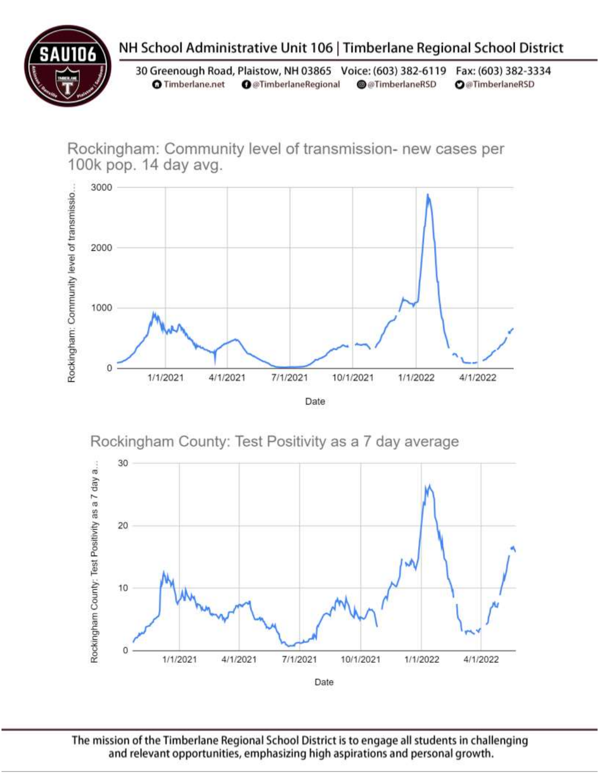

# NH School Administrative Unit 106 | Timberlane Regional School District

30 Greenough Road, Plaistow, NH 03865 Voice: (603) 382-6119 Fax: (603) 382-3334 **O** Timberlane.net **O** @TimberlaneRegional @@TimberlaneRSD **O**@TimberlaneRSD

Rockingham: Community level of transmission- new cases per 100k pop. 14 day avg.







The mission of the Timberlane Regional School District is to engage all students in challenging and relevant opportunities, emphasizing high aspirations and personal growth.